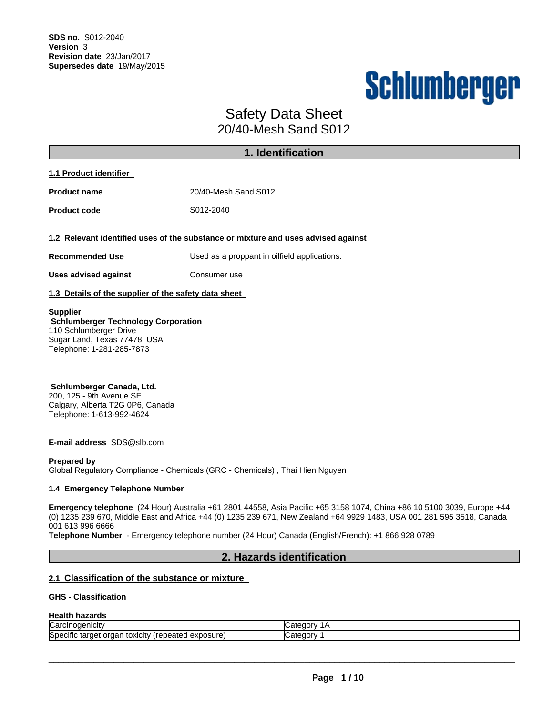# Schlumberger

# Safety Data Sheet

20/40-Mesh Sand S012

|                                                                                                                                                      | 1. Identification                                                                 |
|------------------------------------------------------------------------------------------------------------------------------------------------------|-----------------------------------------------------------------------------------|
| 1.1 Product identifier                                                                                                                               |                                                                                   |
| <b>Product name</b>                                                                                                                                  | 20/40-Mesh Sand S012                                                              |
| <b>Product code</b>                                                                                                                                  | S012-2040                                                                         |
| <b>Recommended Use</b>                                                                                                                               | 1.2 Relevant identified uses of the substance or mixture and uses advised against |
|                                                                                                                                                      | Used as a proppant in oilfield applications.<br>Consumer use                      |
| <b>Uses advised against</b><br>1.3 Details of the supplier of the safety data sheet                                                                  |                                                                                   |
| <b>Supplier</b><br><b>Schlumberger Technology Corporation</b><br>110 Schlumberger Drive<br>Sugar Land, Texas 77478, USA<br>Telephone: 1-281-285-7873 |                                                                                   |

**Schlumberger Canada, Ltd.** 200, 125 - 9th Avenue SE Calgary, Alberta T2G 0P6, Canada Telephone: 1-613-992-4624

**E-mail address** SDS@slb.com

#### **Prepared by**

Global Regulatory Compliance - Chemicals (GRC - Chemicals) , Thai Hien Nguyen

#### **1.4 Emergency Telephone Number**

**Emergency telephone** (24 Hour) Australia +61 2801 44558, Asia Pacific +65 3158 1074, China +86 10 5100 3039, Europe +44 (0) 1235 239 670, Middle East and Africa +44 (0) 1235 239 671, New Zealand +64 9929 1483,USA 001 281 595 3518, Canada 001 613 996 6666

**Telephone Number** - Emergency telephone number (24 Hour) Canada (English/French): +1 866 928 0789

# **2. Hazards identification**

#### **2.1 Classification of the substance or mixture**

#### **GHS - Classification**

#### **Health hazards**

| ∽                                                                                                                              | Cate      |
|--------------------------------------------------------------------------------------------------------------------------------|-----------|
| Carcinogenicity                                                                                                                | .GOOL.    |
| $\cdots$<br>exposure<br>.<br>.<br><b>ISDECITIC</b><br>.<br>S <sub>2</sub><br>epeated<br><b>TOXICITY</b><br>лет<br>organ<br>τаг | ⊶ategory. |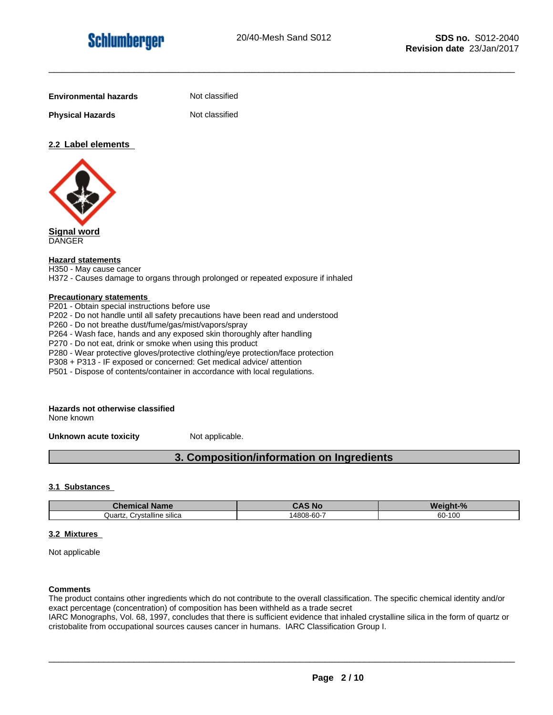**Physical Hazards** Not classified

**Not classified** 

#### **2.2 Label elements**



**Signal word** DANGER

#### **Hazard statements**

H350 - May cause cancer

H372 - Causes damage to organs through prolonged or repeated exposure if inhaled

#### **Precautionary statements**

P201 - Obtain special instructions before use P202 - Do not handle until all safety precautions have been read and understood P260 - Do not breathe dust/fume/gas/mist/vapors/spray P264 - Wash face, hands and any exposed skin thoroughly after handling P270 - Do not eat, drink or smoke when using this product P280 - Wear protective gloves/protective clothing/eye protection/face protection P308 + P313 - IF exposed or concerned: Get medical advice/ attention P501 - Dispose of contents/container in accordance with local regulations.

# **Hazards not otherwise classified**

None known

**Unknown acute toxicity** Not applicable.

# **3. Composition/information on Ingredients**

#### **3.1 Substances**

| <b>Chemical Name</b>            | <b>CAS No</b> | Weight-% |
|---------------------------------|---------------|----------|
| . Crvstalline silica<br>Quartz. | 14808-60-7    | 60-100   |

#### **3.2 Mixtures**

Not applicable

#### **Comments**

The product contains other ingredients which do not contribute to the overall classification. The specific chemical identity and/or exact percentage (concentration) of composition has been withheld as a trade secret

IARC Monographs, Vol. 68, 1997, concludes that there is sufficient evidence that inhaled crystalline silica in the form of quartz or cristobalite from occupational sources causes cancer in humans. IARC Classification Group I.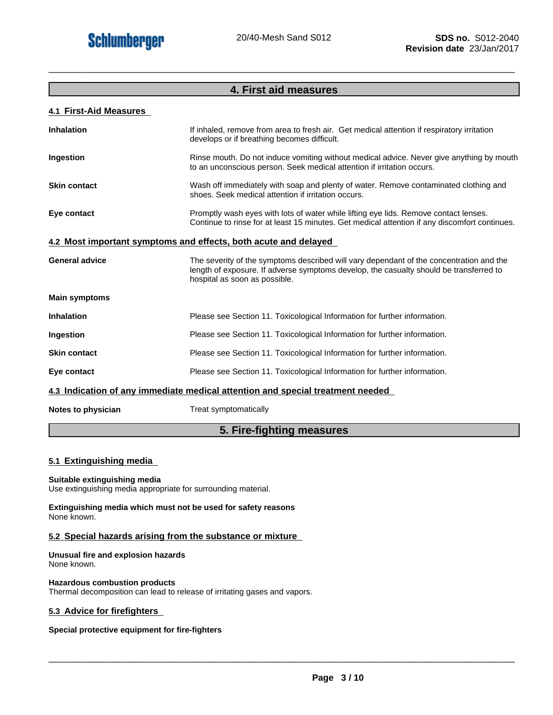# **4. First aid measures**

\_\_\_\_\_\_\_\_\_\_\_\_\_\_\_\_\_\_\_\_\_\_\_\_\_\_\_\_\_\_\_\_\_\_\_\_\_\_\_\_\_\_\_\_\_\_\_\_\_\_\_\_\_\_\_\_\_\_\_\_\_\_\_\_\_\_\_\_\_\_\_\_\_\_\_\_\_\_\_\_\_\_\_\_\_\_\_\_\_\_\_\_\_

#### **4.1 First-Aid Measures**

| <b>Inhalation</b>     | If inhaled, remove from area to fresh air. Get medical attention if respiratory irritation<br>develops or if breathing becomes difficult.                                                                          |
|-----------------------|--------------------------------------------------------------------------------------------------------------------------------------------------------------------------------------------------------------------|
| Ingestion             | Rinse mouth. Do not induce vomiting without medical advice. Never give anything by mouth<br>to an unconscious person. Seek medical attention if irritation occurs.                                                 |
| <b>Skin contact</b>   | Wash off immediately with soap and plenty of water. Remove contaminated clothing and<br>shoes. Seek medical attention if irritation occurs.                                                                        |
| Eye contact           | Promptly wash eyes with lots of water while lifting eye lids. Remove contact lenses.<br>Continue to rinse for at least 15 minutes. Get medical attention if any discomfort continues.                              |
|                       | 4.2 Most important symptoms and effects, both acute and delayed                                                                                                                                                    |
| <b>General advice</b> | The severity of the symptoms described will vary dependant of the concentration and the<br>length of exposure. If adverse symptoms develop, the casualty should be transferred to<br>hospital as soon as possible. |
| <b>Main symptoms</b>  |                                                                                                                                                                                                                    |
| <b>Inhalation</b>     | Please see Section 11. Toxicological Information for further information.                                                                                                                                          |
| Ingestion             | Please see Section 11. Toxicological Information for further information.                                                                                                                                          |
| <b>Skin contact</b>   | Please see Section 11. Toxicological Information for further information.                                                                                                                                          |
| Eye contact           | Please see Section 11. Toxicological Information for further information.                                                                                                                                          |
|                       | 4.3 Indication of any immediate medical attention and special treatment needed                                                                                                                                     |
|                       |                                                                                                                                                                                                                    |

**Notes to physician** Treat symptomatically

# **5. Fire-fighting measures**

#### **5.1 Extinguishing media**

#### **Suitable extinguishing media**

Use extinguishing media appropriate for surrounding material.

**Extinguishing media which must not be used for safety reasons** None known.

#### **5.2 Special hazards arising from the substance or mixture**

**Unusual fire and explosion hazards** None known.

#### **Hazardous combustion products**

Thermal decomposition can lead to release of irritating gases and vapors.

#### **5.3 Advice for firefighters**

#### **Special protective equipment for fire-fighters**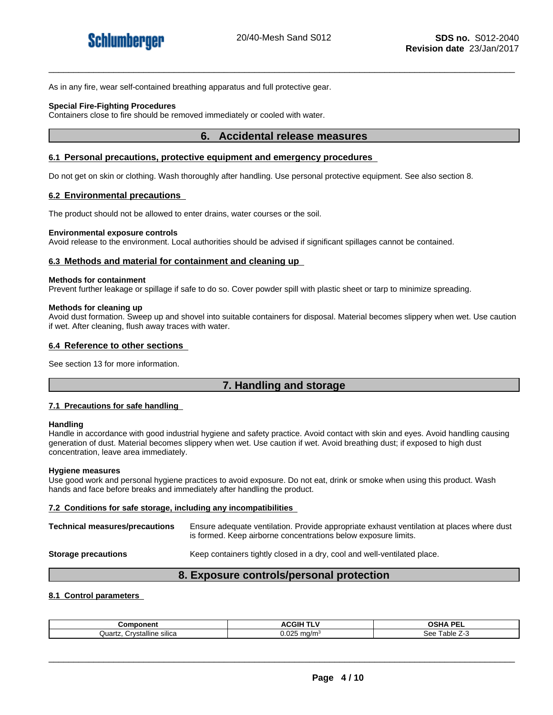As in any fire, wear self-contained breathing apparatus and full protective gear.

#### **Special Fire-Fighting Procedures**

Containers close to fire should be removed immediately or cooled with water.

#### **6. Accidental release measures**

#### **6.1 Personal precautions, protective equipment and emergency procedures**

Do not get on skin or clothing. Wash thoroughly after handling. Use personal protective equipment. See also section 8.

#### **6.2 Environmental precautions**

The product should not be allowed to enter drains, water courses or the soil.

#### **Environmental exposure controls**

Avoid release to the environment. Local authorities should be advised if significant spillages cannot be contained.

#### **6.3 Methods and material for containment and cleaning up**

#### **Methods for containment**

Prevent further leakage or spillage if safe to do so. Cover powder spill with plastic sheet or tarp to minimize spreading.

#### **Methods for cleaning up**

Avoid dust formation. Sweep up and shovel into suitable containers for disposal. Material becomes slippery when wet. Use caution if wet. After cleaning, flush away traces with water.

#### **6.4 Reference to other sections**

See section 13 for more information.

### **7. Handling and storage**

#### **7.1 Precautions for safe handling**

#### **Handling**

Handle in accordance with good industrial hygiene and safety practice. Avoid contact with skin and eyes. Avoid handling causing generation of dust. Material becomes slippery when wet. Use caution if wet. Avoid breathing dust; if exposed to high dust concentration, leave area immediately.

#### **Hygiene measures**

Use good work and personal hygiene practices to avoid exposure. Do not eat, drink or smoke when using this product. Wash hands and face before breaks and immediately after handling the product.

#### **7.2 Conditions for safe storage, including any incompatibilities**

**Technical measures/precautions** Ensure adequate ventilation. Provide appropriate exhaust ventilation at places where dust is formed. Keep airborne concentrations below exposure limits.

**Storage precautions** Keep containers tightly closed in a dry, cool and well-ventilated place.

#### **8. Exposure controls/personal protection**

#### **8.1 Control parameters**

| Component                           | ACGIH TLV                                 | <b>OSHA PE</b><br>. |
|-------------------------------------|-------------------------------------------|---------------------|
| <br>Crystalline<br>sılıca<br>Quartz | $\sim$<br>ma/m <sup>3</sup><br>J.UZ*<br>້ | +able ∠∹<br>See     |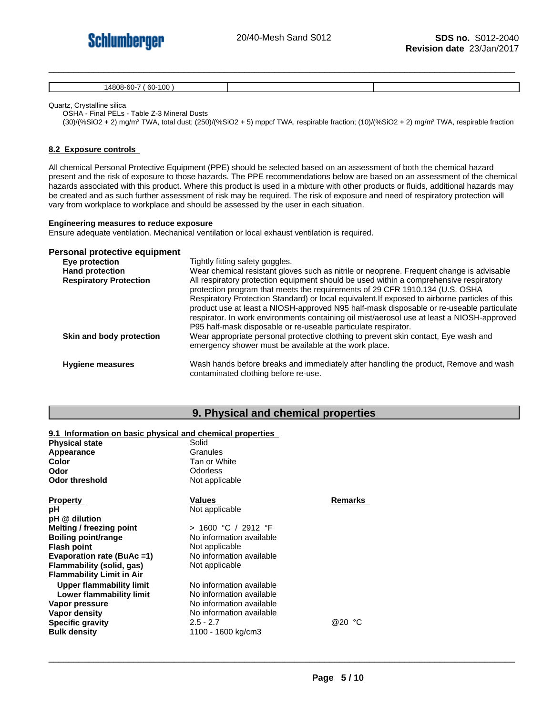

14808-60-7 ( 60-100 )

Quartz, Crystalline silica

OSHA - Final PELs - Table Z-3 Mineral Dusts

(30)/(%SiO2 + 2) mg/m<sup>3</sup> TWA, total dust; (250)/(%SiO2 + 5) mppcf TWA, respirable fraction; (10)/(%SiO2 + 2) mg/m<sup>3</sup> TWA, respirable fraction

#### **8.2 Exposure controls**

All chemical Personal Protective Equipment (PPE) should be selected based on an assessment of both the chemical hazard present and the risk of exposure to those hazards. The PPE recommendations below are based on an assessment of the chemical hazards associated with this product. Where this product is used in a mixture with other products or fluids, additional hazards may be created and as such further assessment of risk may be required. The risk of exposure and need of respiratory protection will vary from workplace to workplace and should be assessed by the user in each situation.

#### **Engineering measures to reduce exposure**

Ensure adequate ventilation. Mechanical ventilation or local exhaust ventilation is required.

#### **Personal protective equipment**

| Eye protection                | Tightly fitting safety goggles.                                                                                                                                                                                                                                                                                                                                                                                                                                                                                                      |
|-------------------------------|--------------------------------------------------------------------------------------------------------------------------------------------------------------------------------------------------------------------------------------------------------------------------------------------------------------------------------------------------------------------------------------------------------------------------------------------------------------------------------------------------------------------------------------|
| <b>Hand protection</b>        | Wear chemical resistant gloves such as nitrile or neoprene. Frequent change is advisable                                                                                                                                                                                                                                                                                                                                                                                                                                             |
| <b>Respiratory Protection</b> | All respiratory protection equipment should be used within a comprehensive respiratory<br>protection program that meets the requirements of 29 CFR 1910.134 (U.S. OSHA<br>Respiratory Protection Standard) or local equivalent. If exposed to airborne particles of this<br>product use at least a NIOSH-approved N95 half-mask disposable or re-useable particulate<br>respirator. In work environments containing oil mist/aerosol use at least a NIOSH-approved<br>P95 half-mask disposable or re-useable particulate respirator. |
| Skin and body protection      | Wear appropriate personal protective clothing to prevent skin contact, Eye wash and<br>emergency shower must be available at the work place.                                                                                                                                                                                                                                                                                                                                                                                         |
| <b>Hygiene measures</b>       | Wash hands before breaks and immediately after handling the product, Remove and wash<br>contaminated clothing before re-use.                                                                                                                                                                                                                                                                                                                                                                                                         |

#### **9. Physical and chemical properties**

#### **9.1 Information on basic physical and chemical properties**

| <b>Physical state</b>            | Solid                    |         |  |
|----------------------------------|--------------------------|---------|--|
| Appearance                       | Granules                 |         |  |
| Color                            | Tan or White             |         |  |
| Odor                             | Odorless                 |         |  |
| <b>Odor threshold</b>            | Not applicable           |         |  |
| <b>Property</b>                  | Values                   | Remarks |  |
| рH                               | Not applicable           |         |  |
| pH @ dilution                    |                          |         |  |
| Melting / freezing point         | > 1600 °C / 2912 °F      |         |  |
| Boiling point/range              | No information available |         |  |
| <b>Flash point</b>               | Not applicable           |         |  |
| Evaporation rate (BuAc =1)       | No information available |         |  |
| Flammability (solid, gas)        | Not applicable           |         |  |
| <b>Flammability Limit in Air</b> |                          |         |  |
| Upper flammability limit         | No information available |         |  |
| Lower flammability limit         | No information available |         |  |
| Vapor pressure                   | No information available |         |  |
| Vapor density                    | No information available |         |  |
| <b>Specific gravity</b>          | $2.5 - 2.7$              | @20 °C  |  |
| <b>Bulk density</b>              | 1100 - 1600 kg/cm3       |         |  |
|                                  |                          |         |  |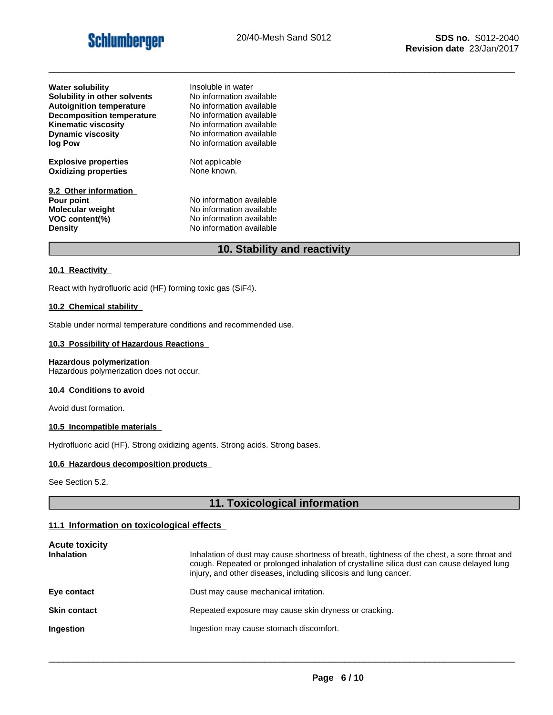# **Schlumberger**

\_\_\_\_\_\_\_\_\_\_\_\_\_\_\_\_\_\_\_\_\_\_\_\_\_\_\_\_\_\_\_\_\_\_\_\_\_\_\_\_\_\_\_\_\_\_\_\_\_\_\_\_\_\_\_\_\_\_\_\_\_\_\_\_\_\_\_\_\_\_\_\_\_\_\_\_\_\_\_\_\_\_\_\_\_\_\_\_\_\_\_\_\_

| <b>Water solubility</b>                                                                            | Insoluble in water                                                                                           |
|----------------------------------------------------------------------------------------------------|--------------------------------------------------------------------------------------------------------------|
| Solubility in other solvents                                                                       | No information available                                                                                     |
| <b>Autoignition temperature</b>                                                                    | No information available                                                                                     |
| <b>Decomposition temperature</b>                                                                   | No information available                                                                                     |
| <b>Kinematic viscosity</b>                                                                         | No information available                                                                                     |
| <b>Dynamic viscosity</b>                                                                           | No information available                                                                                     |
| log Pow                                                                                            | No information available                                                                                     |
| <b>Explosive properties</b>                                                                        | Not applicable                                                                                               |
| <b>Oxidizing properties</b>                                                                        | None known.                                                                                                  |
| 9.2 Other information<br>Pour point<br><b>Molecular weight</b><br>VOC content(%)<br><b>Density</b> | No information available<br>No information available<br>No information available<br>No information available |

# **10. Stability and reactivity**

#### **10.1 Reactivity**

React with hydrofluoric acid (HF) forming toxic gas (SiF4).

#### **10.2 Chemical stability**

Stable under normal temperature conditions and recommended use.

#### **10.3 Possibility of Hazardous Reactions**

#### **Hazardous polymerization**

Hazardous polymerization does not occur.

#### **10.4 Conditions to avoid**

Avoid dust formation.

#### **10.5 Incompatible materials**

Hydrofluoric acid (HF). Strong oxidizing agents. Strong acids. Strong bases.

#### **10.6 Hazardous decomposition products**

See Section 5.2.

# **11. Toxicological information**

#### **11.1 Information on toxicological effects**

| <b>Acute toxicity</b><br><b>Inhalation</b> | Inhalation of dust may cause shortness of breath, tightness of the chest, a sore throat and<br>cough. Repeated or prolonged inhalation of crystalline silica dust can cause delayed lung<br>injury, and other diseases, including silicosis and lung cancer. |
|--------------------------------------------|--------------------------------------------------------------------------------------------------------------------------------------------------------------------------------------------------------------------------------------------------------------|
| Eye contact                                | Dust may cause mechanical irritation.                                                                                                                                                                                                                        |
| <b>Skin contact</b>                        | Repeated exposure may cause skin dryness or cracking.                                                                                                                                                                                                        |
| <b>Ingestion</b>                           | Ingestion may cause stomach discomfort.                                                                                                                                                                                                                      |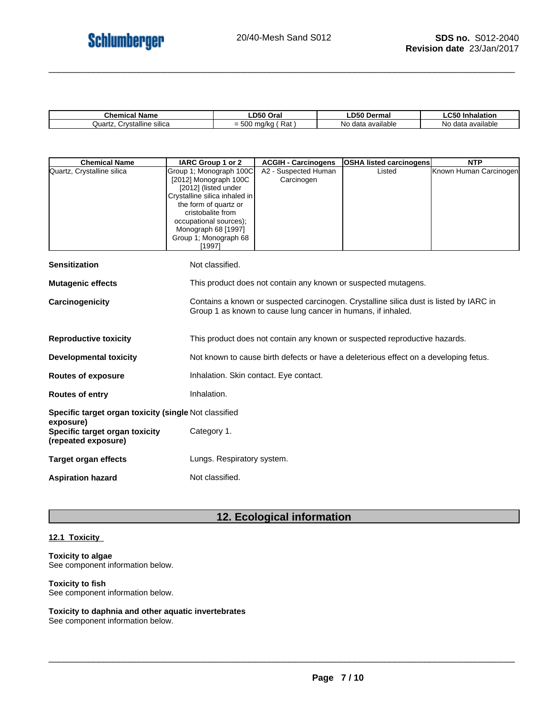| $1$ ham<br><b>\ame</b><br>emical                 | Oral                                                   | ---<br>Dermal                            | mnaiauon<br>.<br>. .                                   |
|--------------------------------------------------|--------------------------------------------------------|------------------------------------------|--------------------------------------------------------|
| $\cdots$<br>`rvstalline<br>Quartz<br>sılıca<br>ື | $-02$<br>.<br>1/ka<br>m<br>$ \sim$<br>ن =<br>nai<br>u. | <b>Hable</b><br>ava<br>40.1<br>NΟ<br>۔ ا | available<br>$A^{\sim}$<br>N <sub>C</sub><br>ud<br>. . |

| <b>Chemical Name</b>                                               | IARC Group 1 or 2                                                                                                                                                                                                                           | <b>ACGIH - Carcinogens</b>                                                                                                                             | <b>OSHA listed carcinogens</b>                                 | <b>NTP</b>             |  |
|--------------------------------------------------------------------|---------------------------------------------------------------------------------------------------------------------------------------------------------------------------------------------------------------------------------------------|--------------------------------------------------------------------------------------------------------------------------------------------------------|----------------------------------------------------------------|------------------------|--|
| Quartz, Crystalline silica                                         | Group 1; Monograph 100C<br>[2012] Monograph 100C<br>[2012] (listed under<br>Crystalline silica inhaled in<br>the form of quartz or<br>cristobalite from<br>occupational sources);<br>Monograph 68 [1997]<br>Group 1; Monograph 68<br>[1997] | A2 - Suspected Human<br>Carcinogen                                                                                                                     | Listed                                                         | Known Human Carcinogen |  |
| <b>Sensitization</b>                                               | Not classified.                                                                                                                                                                                                                             |                                                                                                                                                        |                                                                |                        |  |
| <b>Mutagenic effects</b>                                           |                                                                                                                                                                                                                                             |                                                                                                                                                        | This product does not contain any known or suspected mutagens. |                        |  |
| Carcinogenicity                                                    |                                                                                                                                                                                                                                             | Contains a known or suspected carcinogen. Crystalline silica dust is listed by IARC in<br>Group 1 as known to cause lung cancer in humans, if inhaled. |                                                                |                        |  |
| <b>Reproductive toxicity</b>                                       |                                                                                                                                                                                                                                             | This product does not contain any known or suspected reproductive hazards.                                                                             |                                                                |                        |  |
| <b>Developmental toxicity</b>                                      |                                                                                                                                                                                                                                             | Not known to cause birth defects or have a deleterious effect on a developing fetus.                                                                   |                                                                |                        |  |
| <b>Routes of exposure</b>                                          |                                                                                                                                                                                                                                             | Inhalation. Skin contact. Eye contact.                                                                                                                 |                                                                |                        |  |
| <b>Routes of entry</b>                                             | Inhalation.                                                                                                                                                                                                                                 |                                                                                                                                                        |                                                                |                        |  |
| Specific target organ toxicity (single Not classified              |                                                                                                                                                                                                                                             |                                                                                                                                                        |                                                                |                        |  |
| exposure)<br>Specific target organ toxicity<br>(repeated exposure) | Category 1.                                                                                                                                                                                                                                 |                                                                                                                                                        |                                                                |                        |  |
| <b>Target organ effects</b>                                        | Lungs. Respiratory system.                                                                                                                                                                                                                  |                                                                                                                                                        |                                                                |                        |  |
| <b>Aspiration hazard</b>                                           | Not classified.                                                                                                                                                                                                                             |                                                                                                                                                        |                                                                |                        |  |

# **12. Ecological information**

### **12.1 Toxicity**

#### **Toxicity to algae** See component information below.

#### **Toxicity to fish**

See component information below.

# **Toxicity to daphnia and other aquatic invertebrates**

See component information below.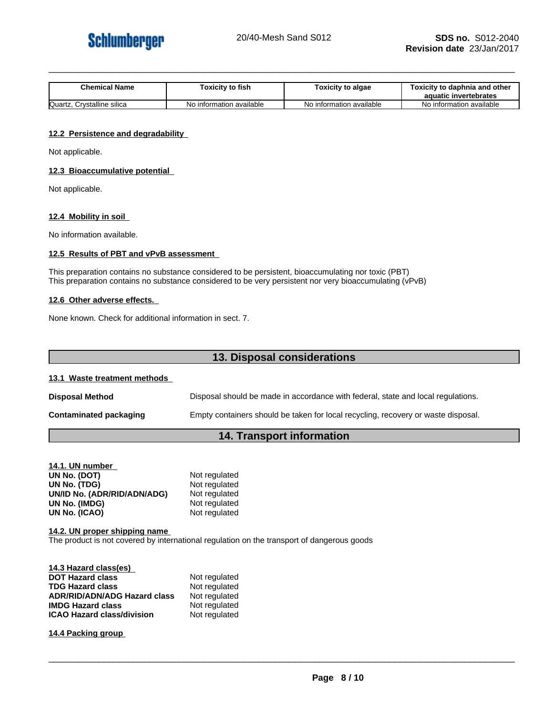

| <b>Chemical Name</b> | $\mathbf{a}$<br>⊺oxicitv to fish | Toxicity to algae     | / to daphnia and other<br><b>Toxicity to</b><br>aquatic invertebrates |
|----------------------|----------------------------------|-----------------------|-----------------------------------------------------------------------|
| Quartz               | information available            | information available | No information available                                              |
| Crystalline silica   | No ir                            | NO.                   |                                                                       |

#### **12.2 Persistence and degradability**

Not applicable.

#### **12.3 Bioaccumulative potential**

Not applicable.

#### **12.4 Mobility in soil**

No information available.

#### **12.5 Results of PBT and vPvB assessment**

This preparation contains no substance considered to be persistent, bioaccumulating nor toxic (PBT) This preparation contains no substance considered to be very persistent nor very bioaccumulating (vPvB)

#### **12.6 Other adverse effects.**

None known. Check for additional information in sect. 7.

# **13. Disposal considerations**

#### **13.1 Waste treatment methods**

| <b>Disposal Method</b>        | Disposal should be made in accordance with federal, state and local regulations.  |
|-------------------------------|-----------------------------------------------------------------------------------|
| <b>Contaminated packaging</b> | Empty containers should be taken for local recycling, recovery or waste disposal. |

# **14. Transport information**

| 14.1. UN number             |               |
|-----------------------------|---------------|
| UN No. (DOT)                | Not regulated |
| UN No. (TDG)                | Not regulated |
| UN/ID No. (ADR/RID/ADN/ADG) | Not regulated |
| UN No. (IMDG)               | Not regulated |
| UN No. (ICAO)               | Not regulated |

**14.2. UN proper shipping name** The product is not covered by international regulation on the transport of dangerous goods

| 14.3 Hazard class(es)               |               |
|-------------------------------------|---------------|
| <b>DOT Hazard class</b>             | Not regulated |
| <b>TDG Hazard class</b>             | Not regulated |
| <b>ADR/RID/ADN/ADG Hazard class</b> | Not regulated |
| <b>IMDG Hazard class</b>            | Not regulated |
| <b>ICAO Hazard class/division</b>   | Not regulated |

**14.4 Packing group**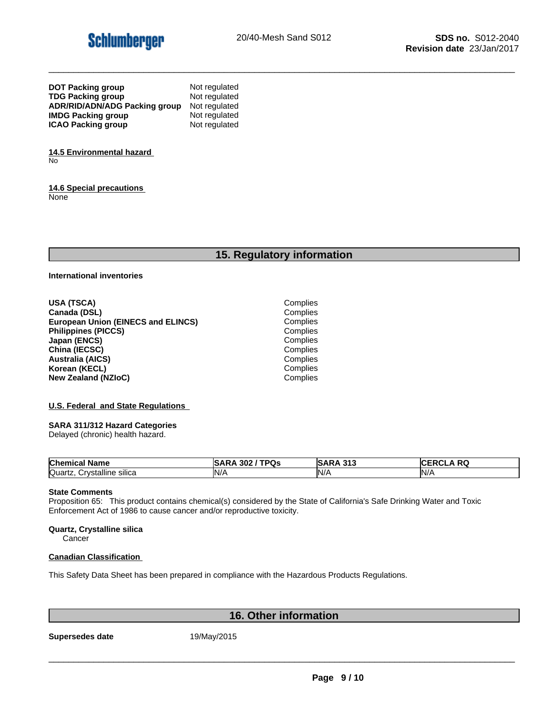

| <b>DOT Packing group</b>             | Not regulated |
|--------------------------------------|---------------|
| <b>TDG Packing group</b>             | Not regulated |
| <b>ADR/RID/ADN/ADG Packing group</b> | Not regulated |
| <b>IMDG Packing group</b>            | Not regulated |
| <b>ICAO Packing group</b>            | Not regulated |

**14.5 Environmental hazard** No

**14.6 Special precautions** None

# **15. Regulatory information**

**International inventories**

**USA (TSCA)** Complies **Canada (DSL)** Complies<br> **Complies**<br> **Complies**<br> **Complies European Union (EINECS and ELINCS) Philippines (PICCS)** Complies **Japan (ENCS)** Complies **China (IECSC)** Complies<br> **Australia (AICS)** Complies<br>
Complies **Australia (AICS)** Complies **Korean (KECL)**<br> **New Zealand (NZIoC)**<br> **New Zealand (NZIoC) New Zealand (NZIoC)** 

#### **U.S. Federal and State Regulations**

#### **SARA 311/312 Hazard Categories**

Delayed (chronic) health hazard.

| <b>Chemical</b><br>Name                                  | $I$ TDO<br>302<br>υs<br>.SAF<br>،KP | $\mathbf{A}$ $\mathbf{A}$<br>242<br>וסו<br>.<br>$\sim$ | DC.<br><b>RW</b> |
|----------------------------------------------------------|-------------------------------------|--------------------------------------------------------|------------------|
| Quartz<br>;rvstalline∶<br>. eilion<br>∵∀ات<br>ιιυ διιιυα | IN/                                 | $N$ /                                                  | N/               |

#### **State Comments**

Proposition 65: This product contains chemical(s) considered by the State of California's Safe Drinking Water and Toxic Enforcement Act of 1986 to cause cancer and/or reproductive toxicity.

#### **Quartz, Crystalline silica**

**Cancer** 

#### **Canadian Classification**

This Safety Data Sheet has been prepared in compliance with the Hazardous Products Regulations.

# **16. Other information**

**Supersedes date** 19/May/2015